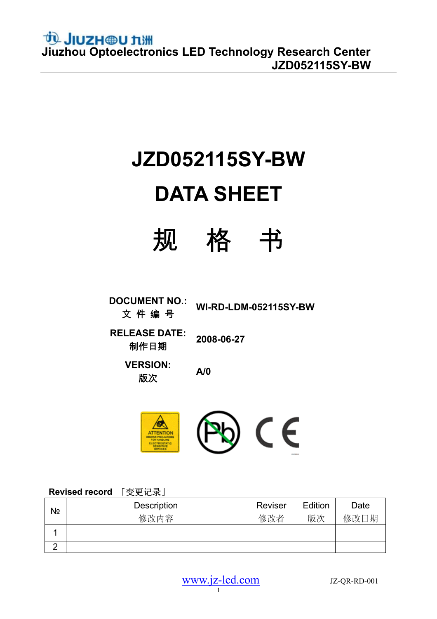# **JZD052115SY-BW**

# **DATA SHEET**



**DOCUMENT NO.:** 文 件 编 号 **WI-RD-LDM-052115SY-BW** 

**RELEASE DATE:**  制作日期 **2008-06-27** 

**VERSION:**  .rco.o.r. A/0<br>版次



### **Revised record** 「变更记录」

| Nº                | Description | Reviser | Edition | Date |
|-------------------|-------------|---------|---------|------|
|                   | 修改内容        | 修改者     | 版次      | 修改日期 |
|                   |             |         |         |      |
| $\mathbf{\Gamma}$ |             |         |         |      |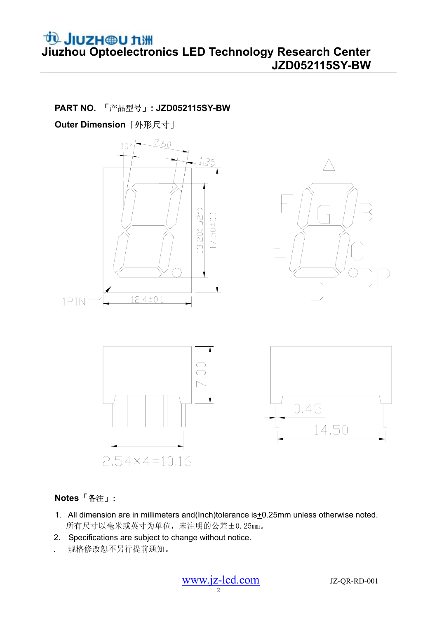**PART NO.** 「产品型号」**: JZD052115SY-BW** 

**Outer Dimension**「外形尺寸」



#### **Notes**「备注」**:**

- 1. All dimension are in millimeters and(Inch)tolerance is +0.25mm unless otherwise noted. 所有尺寸以毫米或英寸为单位,未注明的公差±0.25mm。
- 2. Specifications are subject to change without notice.
- . 规格修改恕不另行提前通知。

 $\frac{www.jz-led.com}{2}$  JZ-QR-RD-001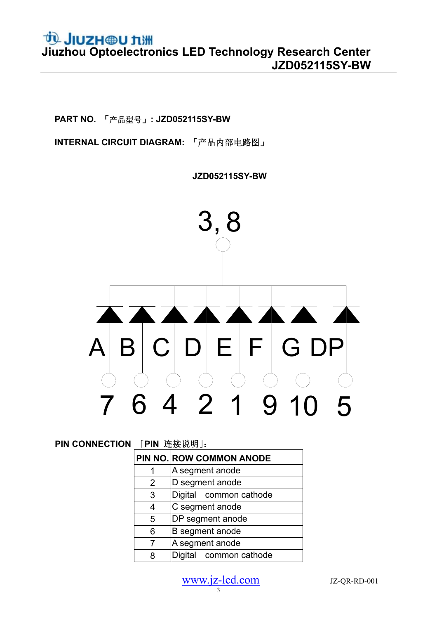**PART NO.** 「产品型号」**: JZD052115SY-BW** 

**INTERNAL CIRCUIT DIAGRAM:** 「产品内部电路图」

 **JZD052115SY-BW**



| <b>PIN CONNECTION</b> | 「PIN 连接说明」: |  |
|-----------------------|-------------|--|
|-----------------------|-------------|--|

|   | PIN NO. ROW COMMON ANODE |
|---|--------------------------|
|   | A segment anode          |
| 2 | D segment anode          |
| 3 | Digital common cathode   |
| 4 | C segment anode          |
| 5 | DP segment anode         |
| 6 | B segment anode          |
| 7 | A segment anode          |
| 8 | Digital common cathode   |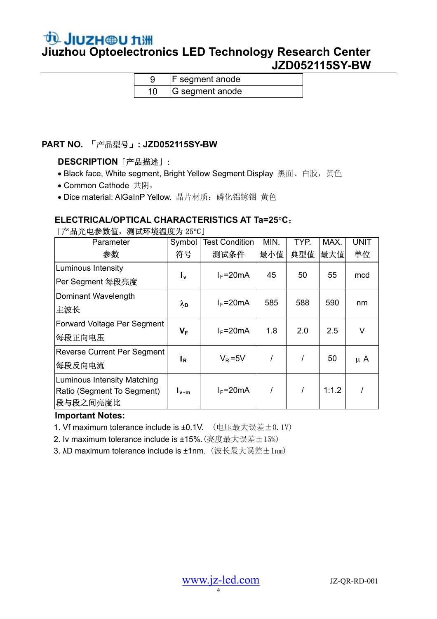### **JIUZH @U 九洲**<br>Jiuzhou Optoelectronics LED Technology Research Center  **JZD052115SY-BW**

| <b>F</b> segment anode |
|------------------------|
| G segment anode        |

#### **PART NO.** 「产品型号」**: JZD052115SY-BW**

#### **DESCRIPTION**「产品描述」:

- Black face, White segment, Bright Yellow Segment Display 黑面、白胶,黄色
- Common Cathode 共阴,
- Dice material: AlGaInP Yellow. 晶片材质: 磷化铝镓铟 黄色

### **ELECTRICAL/OPTICAL CHARACTERISTICS AT Ta=25**°**C**:

「产品光电参数值,测试环境温度为 25°C」

| Parameter                          | Symbol                  | <b>Test Condition</b> | MIN. | TYP. | MAX.  | <b>UNIT</b> |
|------------------------------------|-------------------------|-----------------------|------|------|-------|-------------|
| 参数                                 | 符号                      | 测试条件                  | 最小值  | 典型值  | 最大值   | 单位          |
| Luminous Intensity                 |                         | $I_F = 20mA$          | 45   | 50   | 55    | mcd         |
| Per Segment 每段亮度                   | $I_{\mathbf{v}}$        |                       |      |      |       |             |
| Dominant Wavelength                |                         |                       | 585  | 588  | 590   |             |
| 主波长                                | $\lambda_{\mathsf{D}}$  | $I_F = 20mA$          |      |      |       | nm          |
| <b>Forward Voltage Per Segment</b> |                         | $I_F = 20mA$          | 1.8  | 2.0  | 2.5   | $\vee$      |
| 每段正向电压                             | $\mathsf{V}_\mathsf{F}$ |                       |      |      |       |             |
| Reverse Current Per Segment        |                         | $V_R = 5V$            |      |      | 50    |             |
| 每段反向电流                             | ΙR.                     |                       |      |      |       | $\mu$ A     |
| Luminous Intensity Matching        |                         |                       |      |      |       |             |
| Ratio (Segment To Segment)         | $I_{\nu-m}$             | $I_F = 20mA$          |      |      | 1:1.2 |             |
| 段与段之间亮度比                           |                         |                       |      |      |       |             |

#### **Important Notes:**

- 1. Vf maximum tolerance include is ±0.1V. (电压最大误差±0.1V)
- 2. Iv maximum tolerance include is  $\pm 15\%$ . (亮度最大误差+15%)
- 3. λD maximum tolerance include is ±1nm. (波长最大误差±1nm)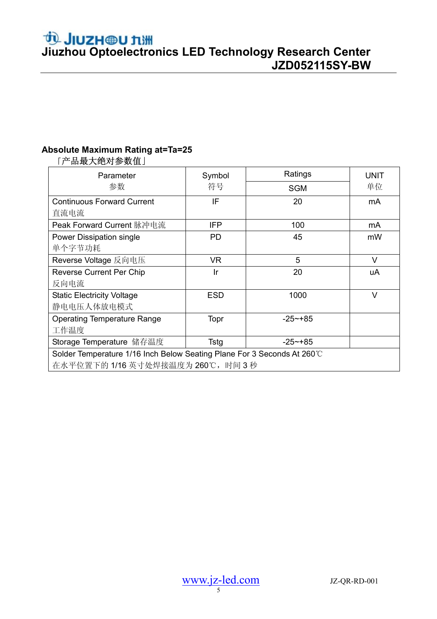# **JIUZH @U 九洲**<br>Jiuzhou Optoelectronics LED Technology Research Center  **JZD052115SY-BW**

### **Absolute Maximum Rating at=Ta=25**

| Parameter                                                               | Symbol     | Ratings     | <b>UNIT</b> |  |  |
|-------------------------------------------------------------------------|------------|-------------|-------------|--|--|
| 参数                                                                      | 符号         | <b>SGM</b>  | 单位          |  |  |
| <b>Continuous Forward Current</b>                                       | IF         | 20          | mA          |  |  |
| 直流电流                                                                    |            |             |             |  |  |
| Peak Forward Current 脉冲电流                                               | <b>IFP</b> | 100         | mA          |  |  |
| Power Dissipation single                                                | <b>PD</b>  | 45          | mW          |  |  |
| 单个字节功耗                                                                  |            |             |             |  |  |
| Reverse Voltage 反向电压                                                    | VR.        | 5           | V           |  |  |
| <b>Reverse Current Per Chip</b>                                         | Ir         | 20          | uA          |  |  |
| 反向电流                                                                    |            |             |             |  |  |
| <b>Static Electricity Voltage</b>                                       | <b>ESD</b> | 1000        | $\vee$      |  |  |
| 静电电压人体放电模式                                                              |            |             |             |  |  |
| <b>Operating Temperature Range</b>                                      | Topr       | $-25 - +85$ |             |  |  |
| 工作温度                                                                    |            |             |             |  |  |
| Storage Temperature 储存温度                                                | Tstg       | $-25$ ~+85  |             |  |  |
| Solder Temperature 1/16 Inch Below Seating Plane For 3 Seconds At 260°C |            |             |             |  |  |
| 在水平位置下的1/16 英寸处焊接温度为260℃, 时间3秒                                          |            |             |             |  |  |

### 「产品最大绝对参数值」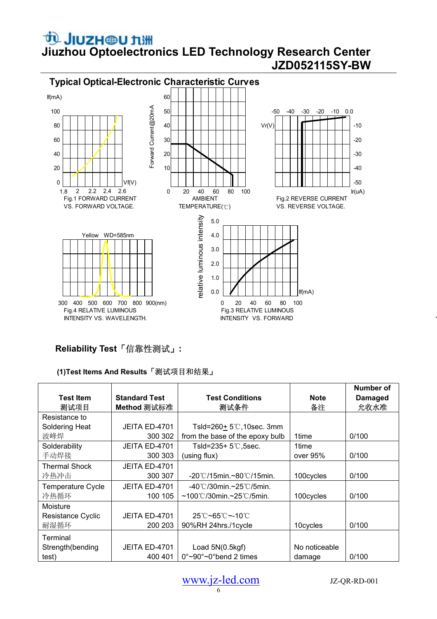

#### **Reliability Test**「信靠性测试」**:**

#### **(1)Test Items And Results**「测试项目和结果」

|                          |                      |                                               |               | Number of      |
|--------------------------|----------------------|-----------------------------------------------|---------------|----------------|
| <b>Test Item</b>         | <b>Standard Test</b> | <b>Test Conditions</b>                        | <b>Note</b>   | <b>Damaged</b> |
| 测试项目                     | Method 测试标准          | 测试条件                                          | 备注            | 允收水准           |
| Resistance to            |                      |                                               |               |                |
| Soldering Heat           | JEITA ED-4701        | Tsld=260+ $5^{\circ}$ C, 10sec. 3mm           |               |                |
| 波峰焊                      | 300 302              | from the base of the epoxy bulb               | 1time         | 0/100          |
| Solderability            | JEITA ED-4701        | Tsld=235+ 5℃,5sec.                            | 1time         |                |
| 手动焊接                     | 300 303              | (using flux)                                  | over 95%      | 0/100          |
| <b>Thermal Shock</b>     | JEITA ED-4701        |                                               |               |                |
| 冷热冲击                     | 300 307              | $-20^{\circ}$ C/15min.~80 $^{\circ}$ C/15min. | 100cycles     | 0/100          |
| <b>Temperature Cycle</b> | JEITA ED-4701        | $-40^{\circ}$ C/30min.~25 $^{\circ}$ C/5min.  |               |                |
| 冷热循环                     | 100 105              | $~100^{\circ}$ C/30min.~25 $^{\circ}$ C/5min. | 100cycles     | 0/100          |
| Moisture                 |                      |                                               |               |                |
| <b>Resistance Cyclic</b> | JEITA ED-4701        | 25℃~65℃~-10℃                                  |               |                |
| 耐湿循环                     | 200 203              | 90%RH 24hrs./1 cycle                          | 10cycles      | 0/100          |
| Terminal                 |                      |                                               |               |                |
| Strength(bending         | JEITA ED-4701        | Load $5N(0.5kgf)$                             | No noticeable |                |
| test)                    | 400 401              | $0^{\circ}$ ~90°~0°bend 2 times               | damage        | 0/100          |

`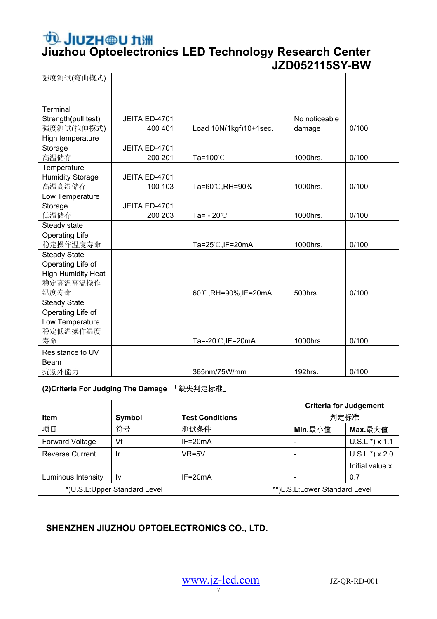# **JIUZH @U 九洲**<br>Jiuzhou Optoelectronics LED Technology Research Center  **JZD052115SY-BW**

| 强度测试(弯曲模式)                |               |                        |               |       |
|---------------------------|---------------|------------------------|---------------|-------|
|                           |               |                        |               |       |
|                           |               |                        |               |       |
| Terminal                  |               |                        |               |       |
| Strength(pull test)       | JEITA ED-4701 |                        | No noticeable |       |
| 强度测试(拉伸模式)                | 400 401       | Load 10N(1kgf)10+1sec. | damage        | 0/100 |
| High temperature          |               |                        |               |       |
| Storage                   | JEITA ED-4701 |                        |               |       |
| 高温储存                      | 200 201       | Ta=100℃                | 1000hrs.      | 0/100 |
| Temperature               |               |                        |               |       |
| <b>Humidity Storage</b>   | JEITA ED-4701 |                        |               |       |
| 高温高湿储存                    | 100 103       | Ta=60℃,RH=90%          | 1000hrs.      | 0/100 |
| Low Temperature           |               |                        |               |       |
| Storage                   | JEITA ED-4701 |                        |               |       |
| 低温储存                      | 200 203       | Ta= $-20^{\circ}$ C    | 1000hrs.      | 0/100 |
| Steady state              |               |                        |               |       |
| <b>Operating Life</b>     |               |                        |               |       |
| 稳定操作温度寿命                  |               | Ta=25℃, IF=20mA        | 1000hrs.      | 0/100 |
| <b>Steady State</b>       |               |                        |               |       |
| Operating Life of         |               |                        |               |       |
| <b>High Humidity Heat</b> |               |                        |               |       |
| 稳定高温高温操作                  |               |                        |               |       |
| 温度寿命                      |               | 60℃,RH=90%,IF=20mA     | 500hrs.       | 0/100 |
| <b>Steady State</b>       |               |                        |               |       |
| Operating Life of         |               |                        |               |       |
| Low Temperature           |               |                        |               |       |
| 稳定低温操作温度                  |               |                        |               |       |
| 寿命                        |               | Ta=-20℃, IF=20mA       | 1000hrs.      | 0/100 |
| Resistance to UV          |               |                        |               |       |
| Beam                      |               |                        |               |       |
| 抗紫外能力                     |               | 365nm/75W/mm           | 192hrs.       | 0/100 |

#### **(2)Criteria For Judging The Damage** 「缺失判定标准」

|                                                               |        |                        | <b>Criteria for Judgement</b> |                   |
|---------------------------------------------------------------|--------|------------------------|-------------------------------|-------------------|
| Item                                                          | Symbol | <b>Test Conditions</b> | 判定标准                          |                   |
| 项目                                                            | 符号     | 测试条件                   | Min.最小值                       | Max.最大值           |
| <b>Forward Voltage</b>                                        | Vf     | $IF = 20mA$            |                               | $U.S.L.*$ ) x 1.1 |
| <b>Reverse Current</b>                                        | Ir     | $VR=5V$                |                               | $U.S.L.*$ ) x 2.0 |
|                                                               |        |                        |                               | Inifial value x   |
| Luminous Intensity                                            | ١v     | $IF = 20mA$            |                               | 0.7               |
| *)U.S.L:Upper Standard Level<br>**)L.S.L:Lower Standard Level |        |                        |                               |                   |

#### **SHENZHEN JIUZHOU OPTOELECTRONICS CO., LTD.**